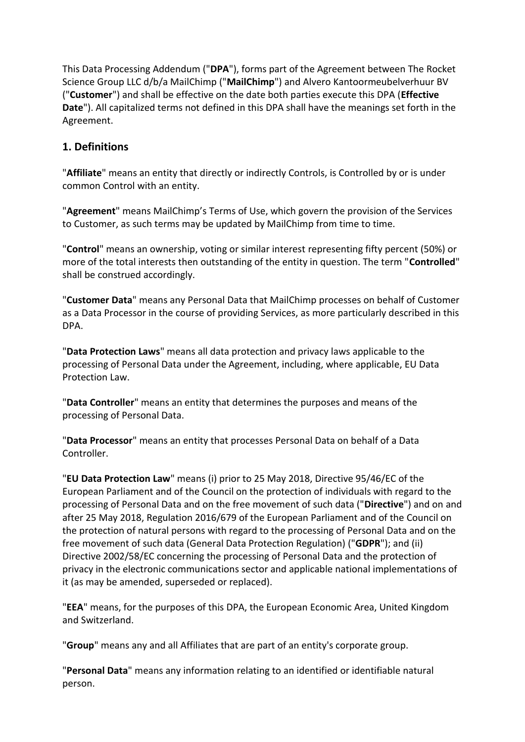This Data Processing Addendum ("**DPA**"), forms part of the Agreement between The Rocket Science Group LLC d/b/a MailChimp ("**MailChimp**") and Alvero Kantoormeubelverhuur BV ("**Customer**") and shall be effective on the date both parties execute this DPA (**Effective Date**"). All capitalized terms not defined in this DPA shall have the meanings set forth in the Agreement.

#### **1. Definitions**

"**Affiliate**" means an entity that directly or indirectly Controls, is Controlled by or is under common Control with an entity.

"**Agreement**" means MailChimp's Terms of Use, which govern the provision of the Services to Customer, as such terms may be updated by MailChimp from time to time.

"**Control**" means an ownership, voting or similar interest representing fifty percent (50%) or more of the total interests then outstanding of the entity in question. The term "**Controlled**" shall be construed accordingly.

"**Customer Data**" means any Personal Data that MailChimp processes on behalf of Customer as a Data Processor in the course of providing Services, as more particularly described in this DPA.

"**Data Protection Laws**" means all data protection and privacy laws applicable to the processing of Personal Data under the Agreement, including, where applicable, EU Data Protection Law.

"**Data Controller**" means an entity that determines the purposes and means of the processing of Personal Data.

"**Data Processor**" means an entity that processes Personal Data on behalf of a Data Controller.

"**EU Data Protection Law**" means (i) prior to 25 May 2018, Directive 95/46/EC of the European Parliament and of the Council on the protection of individuals with regard to the processing of Personal Data and on the free movement of such data ("**Directive**") and on and after 25 May 2018, Regulation 2016/679 of the European Parliament and of the Council on the protection of natural persons with regard to the processing of Personal Data and on the free movement of such data (General Data Protection Regulation) ("**GDPR**"); and (ii) Directive 2002/58/EC concerning the processing of Personal Data and the protection of privacy in the electronic communications sector and applicable national implementations of it (as may be amended, superseded or replaced).

"**EEA**" means, for the purposes of this DPA, the European Economic Area, United Kingdom and Switzerland.

"**Group**" means any and all Affiliates that are part of an entity's corporate group.

"**Personal Data**" means any information relating to an identified or identifiable natural person.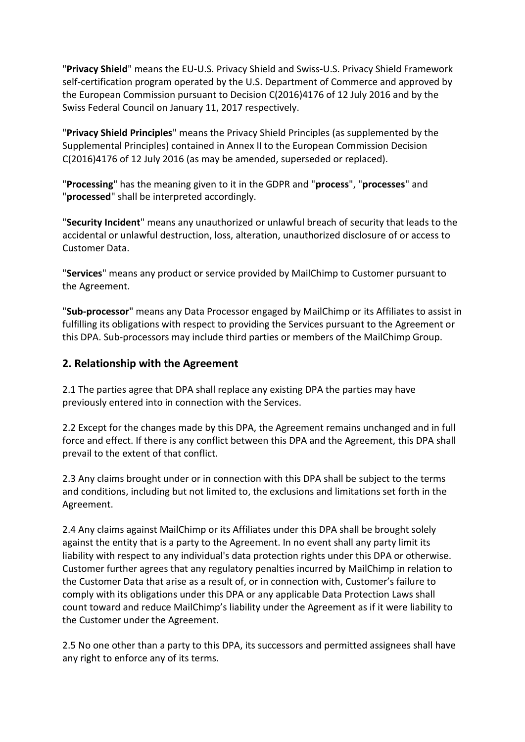"**Privacy Shield**" means the EU-U.S. Privacy Shield and Swiss-U.S. Privacy Shield Framework self-certification program operated by the U.S. Department of Commerce and approved by the European Commission pursuant to Decision C(2016)4176 of 12 July 2016 and by the Swiss Federal Council on January 11, 2017 respectively.

"**Privacy Shield Principles**" means the Privacy Shield Principles (as supplemented by the Supplemental Principles) contained in Annex II to the European Commission Decision C(2016)4176 of 12 July 2016 (as may be amended, superseded or replaced).

"**Processing**" has the meaning given to it in the GDPR and "**process**", "**processes**" and "**processed**" shall be interpreted accordingly.

"**Security Incident**" means any unauthorized or unlawful breach of security that leads to the accidental or unlawful destruction, loss, alteration, unauthorized disclosure of or access to Customer Data.

"**Services**" means any product or service provided by MailChimp to Customer pursuant to the Agreement.

"**Sub-processor**" means any Data Processor engaged by MailChimp or its Affiliates to assist in fulfilling its obligations with respect to providing the Services pursuant to the Agreement or this DPA. Sub-processors may include third parties or members of the MailChimp Group.

#### **2. Relationship with the Agreement**

2.1 The parties agree that DPA shall replace any existing DPA the parties may have previously entered into in connection with the Services.

2.2 Except for the changes made by this DPA, the Agreement remains unchanged and in full force and effect. If there is any conflict between this DPA and the Agreement, this DPA shall prevail to the extent of that conflict.

2.3 Any claims brought under or in connection with this DPA shall be subject to the terms and conditions, including but not limited to, the exclusions and limitations set forth in the Agreement.

2.4 Any claims against MailChimp or its Affiliates under this DPA shall be brought solely against the entity that is a party to the Agreement. In no event shall any party limit its liability with respect to any individual's data protection rights under this DPA or otherwise. Customer further agrees that any regulatory penalties incurred by MailChimp in relation to the Customer Data that arise as a result of, or in connection with, Customer's failure to comply with its obligations under this DPA or any applicable Data Protection Laws shall count toward and reduce MailChimp's liability under the Agreement as if it were liability to the Customer under the Agreement.

2.5 No one other than a party to this DPA, its successors and permitted assignees shall have any right to enforce any of its terms.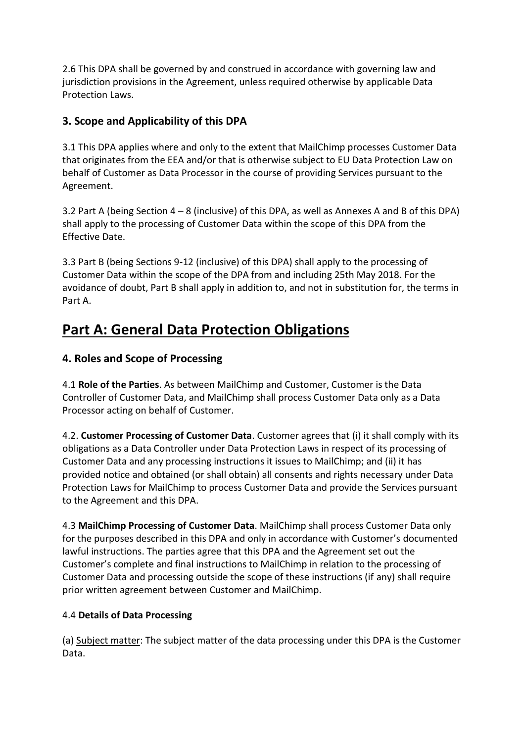2.6 This DPA shall be governed by and construed in accordance with governing law and jurisdiction provisions in the Agreement, unless required otherwise by applicable Data Protection Laws.

## **3. Scope and Applicability of this DPA**

3.1 This DPA applies where and only to the extent that MailChimp processes Customer Data that originates from the EEA and/or that is otherwise subject to EU Data Protection Law on behalf of Customer as Data Processor in the course of providing Services pursuant to the Agreement.

3.2 Part A (being Section 4 – 8 (inclusive) of this DPA, as well as Annexes A and B of this DPA) shall apply to the processing of Customer Data within the scope of this DPA from the Effective Date.

3.3 Part B (being Sections 9-12 (inclusive) of this DPA) shall apply to the processing of Customer Data within the scope of the DPA from and including 25th May 2018. For the avoidance of doubt, Part B shall apply in addition to, and not in substitution for, the terms in Part A.

# **Part A: General Data Protection Obligations**

## **4. Roles and Scope of Processing**

4.1 **Role of the Parties**. As between MailChimp and Customer, Customer is the Data Controller of Customer Data, and MailChimp shall process Customer Data only as a Data Processor acting on behalf of Customer.

4.2. **Customer Processing of Customer Data**. Customer agrees that (i) it shall comply with its obligations as a Data Controller under Data Protection Laws in respect of its processing of Customer Data and any processing instructions it issues to MailChimp; and (ii) it has provided notice and obtained (or shall obtain) all consents and rights necessary under Data Protection Laws for MailChimp to process Customer Data and provide the Services pursuant to the Agreement and this DPA.

4.3 **MailChimp Processing of Customer Data**. MailChimp shall process Customer Data only for the purposes described in this DPA and only in accordance with Customer's documented lawful instructions. The parties agree that this DPA and the Agreement set out the Customer's complete and final instructions to MailChimp in relation to the processing of Customer Data and processing outside the scope of these instructions (if any) shall require prior written agreement between Customer and MailChimp.

#### 4.4 **Details of Data Processing**

(a) Subject matter: The subject matter of the data processing under this DPA is the Customer Data.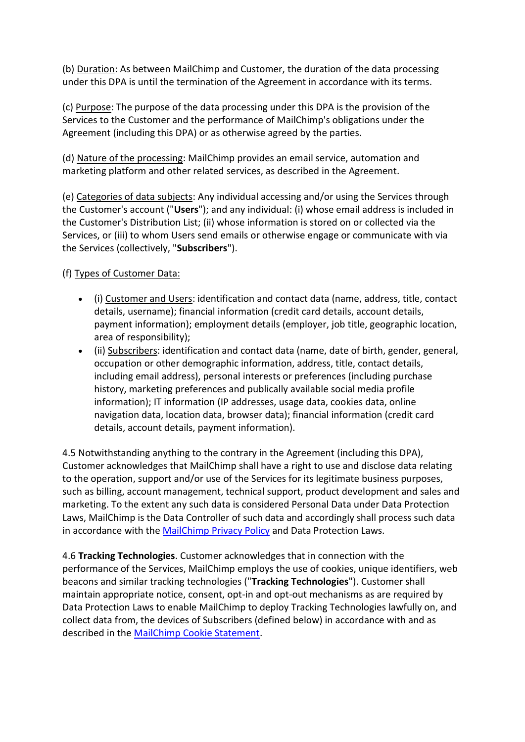(b) Duration: As between MailChimp and Customer, the duration of the data processing under this DPA is until the termination of the Agreement in accordance with its terms.

(c) Purpose: The purpose of the data processing under this DPA is the provision of the Services to the Customer and the performance of MailChimp's obligations under the Agreement (including this DPA) or as otherwise agreed by the parties.

(d) Nature of the processing: MailChimp provides an email service, automation and marketing platform and other related services, as described in the Agreement.

(e) Categories of data subjects: Any individual accessing and/or using the Services through the Customer's account ("**Users**"); and any individual: (i) whose email address is included in the Customer's Distribution List; (ii) whose information is stored on or collected via the Services, or (iii) to whom Users send emails or otherwise engage or communicate with via the Services (collectively, "**Subscribers**").

(f) Types of Customer Data:

- (i) Customer and Users: identification and contact data (name, address, title, contact details, username); financial information (credit card details, account details, payment information); employment details (employer, job title, geographic location, area of responsibility);
- (ii) Subscribers: identification and contact data (name, date of birth, gender, general, occupation or other demographic information, address, title, contact details, including email address), personal interests or preferences (including purchase history, marketing preferences and publically available social media profile information); IT information (IP addresses, usage data, cookies data, online navigation data, location data, browser data); financial information (credit card details, account details, payment information).

4.5 Notwithstanding anything to the contrary in the Agreement (including this DPA), Customer acknowledges that MailChimp shall have a right to use and disclose data relating to the operation, support and/or use of the Services for its legitimate business purposes, such as billing, account management, technical support, product development and sales and marketing. To the extent any such data is considered Personal Data under Data Protection Laws, MailChimp is the Data Controller of such data and accordingly shall process such data in accordance with the [MailChimp Privacy Policy](https://mailchimp.com/legal/privacy/) and Data Protection Laws.

4.6 **Tracking Technologies**. Customer acknowledges that in connection with the performance of the Services, MailChimp employs the use of cookies, unique identifiers, web beacons and similar tracking technologies ("**Tracking Technologies**"). Customer shall maintain appropriate notice, consent, opt-in and opt-out mechanisms as are required by Data Protection Laws to enable MailChimp to deploy Tracking Technologies lawfully on, and collect data from, the devices of Subscribers (defined below) in accordance with and as described in the [MailChimp Cookie Statement.](https://mailchimp.com/legal/cookies/)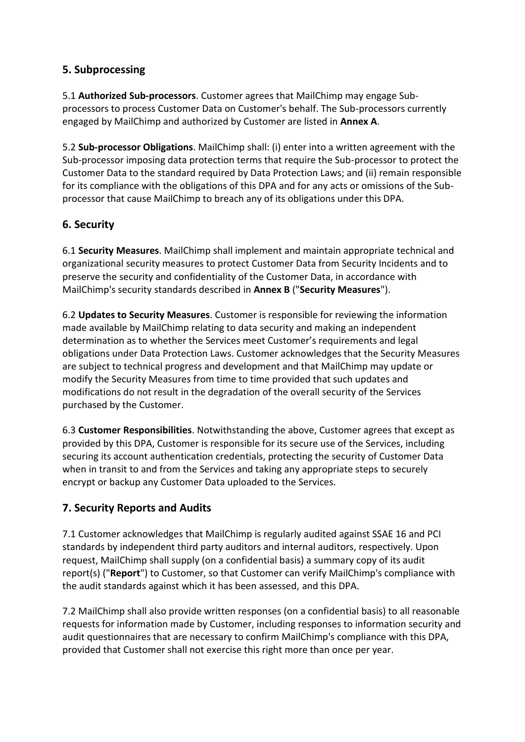## **5. Subprocessing**

5.1 **Authorized Sub-processors**. Customer agrees that MailChimp may engage Subprocessors to process Customer Data on Customer's behalf. The Sub-processors currently engaged by MailChimp and authorized by Customer are listed in **Annex A**.

5.2 **Sub-processor Obligations**. MailChimp shall: (i) enter into a written agreement with the Sub-processor imposing data protection terms that require the Sub-processor to protect the Customer Data to the standard required by Data Protection Laws; and (ii) remain responsible for its compliance with the obligations of this DPA and for any acts or omissions of the Subprocessor that cause MailChimp to breach any of its obligations under this DPA.

## **6. Security**

6.1 **Security Measures**. MailChimp shall implement and maintain appropriate technical and organizational security measures to protect Customer Data from Security Incidents and to preserve the security and confidentiality of the Customer Data, in accordance with MailChimp's security standards described in **Annex B** ("**Security Measures**").

6.2 **Updates to Security Measures**. Customer is responsible for reviewing the information made available by MailChimp relating to data security and making an independent determination as to whether the Services meet Customer's requirements and legal obligations under Data Protection Laws. Customer acknowledges that the Security Measures are subject to technical progress and development and that MailChimp may update or modify the Security Measures from time to time provided that such updates and modifications do not result in the degradation of the overall security of the Services purchased by the Customer.

6.3 **Customer Responsibilities**. Notwithstanding the above, Customer agrees that except as provided by this DPA, Customer is responsible for its secure use of the Services, including securing its account authentication credentials, protecting the security of Customer Data when in transit to and from the Services and taking any appropriate steps to securely encrypt or backup any Customer Data uploaded to the Services.

## **7. Security Reports and Audits**

7.1 Customer acknowledges that MailChimp is regularly audited against SSAE 16 and PCI standards by independent third party auditors and internal auditors, respectively. Upon request, MailChimp shall supply (on a confidential basis) a summary copy of its audit report(s) ("**Report**") to Customer, so that Customer can verify MailChimp's compliance with the audit standards against which it has been assessed, and this DPA.

7.2 MailChimp shall also provide written responses (on a confidential basis) to all reasonable requests for information made by Customer, including responses to information security and audit questionnaires that are necessary to confirm MailChimp's compliance with this DPA, provided that Customer shall not exercise this right more than once per year.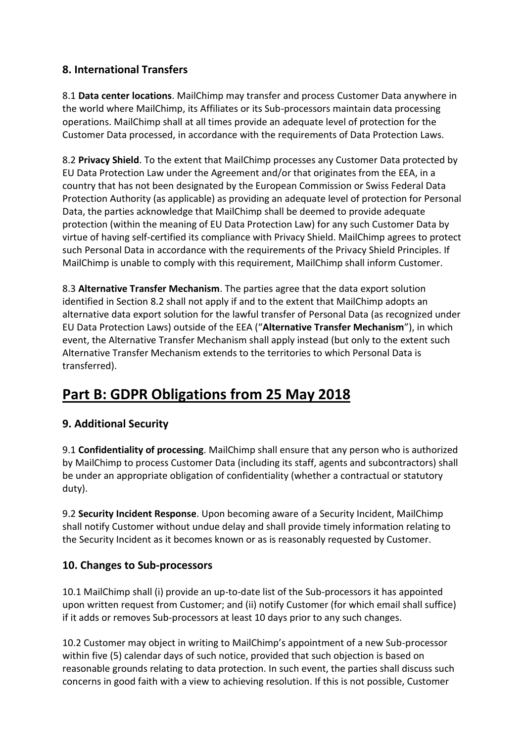## **8. International Transfers**

8.1 **Data center locations**. MailChimp may transfer and process Customer Data anywhere in the world where MailChimp, its Affiliates or its Sub-processors maintain data processing operations. MailChimp shall at all times provide an adequate level of protection for the Customer Data processed, in accordance with the requirements of Data Protection Laws.

8.2 **Privacy Shield**. To the extent that MailChimp processes any Customer Data protected by EU Data Protection Law under the Agreement and/or that originates from the EEA, in a country that has not been designated by the European Commission or Swiss Federal Data Protection Authority (as applicable) as providing an adequate level of protection for Personal Data, the parties acknowledge that MailChimp shall be deemed to provide adequate protection (within the meaning of EU Data Protection Law) for any such Customer Data by virtue of having self-certified its compliance with Privacy Shield. MailChimp agrees to protect such Personal Data in accordance with the requirements of the Privacy Shield Principles. If MailChimp is unable to comply with this requirement, MailChimp shall inform Customer.

8.3 **Alternative Transfer Mechanism**. The parties agree that the data export solution identified in Section 8.2 shall not apply if and to the extent that MailChimp adopts an alternative data export solution for the lawful transfer of Personal Data (as recognized under EU Data Protection Laws) outside of the EEA ("**Alternative Transfer Mechanism**"), in which event, the Alternative Transfer Mechanism shall apply instead (but only to the extent such Alternative Transfer Mechanism extends to the territories to which Personal Data is transferred).

# **Part B: GDPR Obligations from 25 May 2018**

# **9. Additional Security**

9.1 **Confidentiality of processing**. MailChimp shall ensure that any person who is authorized by MailChimp to process Customer Data (including its staff, agents and subcontractors) shall be under an appropriate obligation of confidentiality (whether a contractual or statutory duty).

9.2 **Security Incident Response**. Upon becoming aware of a Security Incident, MailChimp shall notify Customer without undue delay and shall provide timely information relating to the Security Incident as it becomes known or as is reasonably requested by Customer.

## **10. Changes to Sub-processors**

10.1 MailChimp shall (i) provide an up-to-date list of the Sub-processors it has appointed upon written request from Customer; and (ii) notify Customer (for which email shall suffice) if it adds or removes Sub-processors at least 10 days prior to any such changes.

10.2 Customer may object in writing to MailChimp's appointment of a new Sub-processor within five (5) calendar days of such notice, provided that such objection is based on reasonable grounds relating to data protection. In such event, the parties shall discuss such concerns in good faith with a view to achieving resolution. If this is not possible, Customer